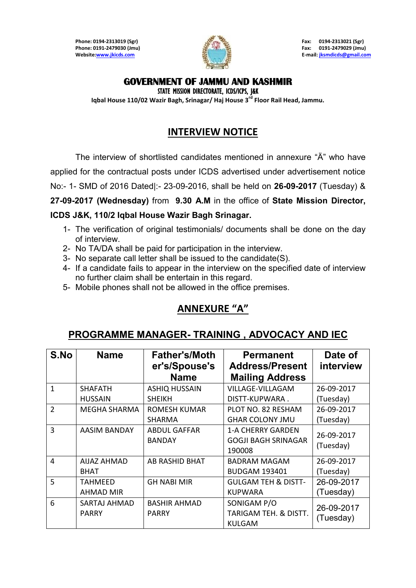**Phone: 0194-2313019 (Sgr) Fax: 0194-2313021 (Sgr) Phone: 0191-2479030 (Jmu) Fax: 0191-2479029 (Jmu) Websit[e:www.jkicds.com](http://www.jkicds.com/) E-mail[: jksmdicds@gmail.com](mailto:jksmdicds@gmail.com)**



#### **GOVERNMENT OF JAMMU AND KASHMIR**

STATE MISSION DIRECTORATE, ICDS/ICPS, J&K

**Iqbal House 110/02 Wazir Bagh, Srinagar/ Haj House 3rd Floor Rail Head, Jammu.** 

# **INTERVIEW NOTICE**

The interview of shortlisted candidates mentioned in annexure "Ä" who have

applied for the contractual posts under ICDS advertised under advertisement notice

No:- 1- SMD of 2016 Dated|:- 23-09-2016, shall be held on **26-09-2017** (Tuesday) &

**27-09-2017 (Wednesday)** from **9.30 A.M** in the office of **State Mission Director,** 

#### **ICDS J&K, 110/2 Iqbal House Wazir Bagh Srinagar.**

- 1- The verification of original testimonials/ documents shall be done on the day of interview.
- 2- No TA/DA shall be paid for participation in the interview.
- 3- No separate call letter shall be issued to the candidate(S).
- 4- If a candidate fails to appear in the interview on the specified date of interview no further claim shall be entertain in this regard.
- 5- Mobile phones shall not be allowed in the office premises.

## **ANNEXURE ͞A͟**

### **PROGRAMME MANAGER- TRAINING , ADVOCACY AND IEC**

| S.No           | <b>Name</b>                        | <b>Father's/Moth</b><br>er's/Spouse's<br><b>Name</b> | <b>Permanent</b><br><b>Address/Present</b><br><b>Mailing Address</b> | Date of<br>interview    |
|----------------|------------------------------------|------------------------------------------------------|----------------------------------------------------------------------|-------------------------|
| $\mathbf{1}$   | <b>SHAFATH</b><br><b>HUSSAIN</b>   | <b>ASHIQ HUSSAIN</b><br><b>SHEIKH</b>                | <b>VILLAGE-VILLAGAM</b><br>DISTT-KUPWARA.                            | 26-09-2017<br>(Tuesday) |
| $\overline{2}$ | MEGHA SHARMA                       | ROMESH KUMAR<br><b>SHARMA</b>                        | PLOT NO. 82 RESHAM<br><b>GHAR COLONY JMU</b>                         | 26-09-2017<br>(Tuesday) |
| 3              | AASIM BANDAY                       | <b>ABDUL GAFFAR</b><br><b>BANDAY</b>                 | <b>1-A CHERRY GARDEN</b><br><b>GOGJI BAGH SRINAGAR</b><br>190008     | 26-09-2017<br>(Tuesday) |
| 4              | <b>AIJAZ AHMAD</b><br><b>BHAT</b>  | AB RASHID BHAT                                       | <b>BADRAM MAGAM</b><br><b>BUDGAM 193401</b>                          | 26-09-2017<br>(Tuesday) |
| 5              | <b>TAHMEED</b><br><b>AHMAD MIR</b> | <b>GH NABI MIR</b>                                   | <b>GULGAM TEH &amp; DISTT-</b><br><b>KUPWARA</b>                     | 26-09-2017<br>(Tuesday) |
| 6              | SARTAJ AHMAD<br><b>PARRY</b>       | <b>BASHIR AHMAD</b><br><b>PARRY</b>                  | SONIGAM P/O<br>TARIGAM TEH. & DISTT.<br><b>KULGAM</b>                | 26-09-2017<br>(Tuesday) |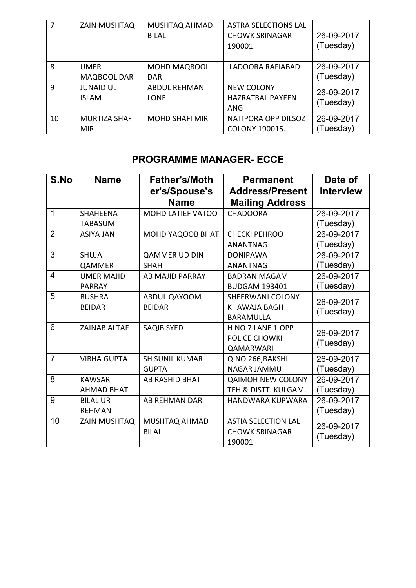|              | <b>ZAIN MUSHTAQ</b>                | MUSHTAQ AHMAD<br><b>BILAL</b>      | <b>ASTRA SELECTIONS LAL</b><br><b>CHOWK SRINAGAR</b><br>190001. | 26-09-2017<br>(Tuesday) |
|--------------|------------------------------------|------------------------------------|-----------------------------------------------------------------|-------------------------|
| 8            | <b>UMER</b><br>MAQBOOL DAR         | <b>MOHD MAQBOOL</b><br><b>DAR</b>  | LADOORA RAFIABAD                                                | 26-09-2017<br>(Tuesday) |
| $\mathsf{q}$ | <b>JUNAID UL</b><br><b>ISLAM</b>   | <b>ABDUL REHMAN</b><br><b>LONE</b> | <b>NEW COLONY</b><br><b>HAZRATBAL PAYEEN</b><br>ANG             | 26-09-2017<br>(Tuesday) |
| 10           | <b>MURTIZA SHAFI</b><br><b>MIR</b> | <b>MOHD SHAFI MIR</b>              | NATIPORA OPP DILSOZ<br>COLONY 190015.                           | 26-09-2017<br>(Tuesday) |

# **PROGRAMME MANAGER- ECCE**

| S.No           | <b>Name</b>         | <b>Father's/Moth</b>     | <b>Permanent</b>           | Date of    |
|----------------|---------------------|--------------------------|----------------------------|------------|
|                |                     | er's/Spouse's            | <b>Address/Present</b>     | interview  |
|                |                     | <b>Name</b>              | <b>Mailing Address</b>     |            |
| 1              | <b>SHAHEENA</b>     | <b>MOHD LATIEF VATOO</b> | <b>CHADOORA</b>            | 26-09-2017 |
|                | <b>TABASUM</b>      |                          |                            | (Tuesday)  |
| $\overline{2}$ | <b>ASIYA JAN</b>    | MOHD YAQOOB BHAT         | <b>CHECKI PEHROO</b>       | 26-09-2017 |
|                |                     |                          | <b>ANANTNAG</b>            | (Tuesday)  |
| 3              | <b>SHUJA</b>        | <b>QAMMER UD DIN</b>     | <b>DONIPAWA</b>            | 26-09-2017 |
|                | QAMMER              | <b>SHAH</b>              | <b>ANANTNAG</b>            | (Tuesday)  |
| $\overline{4}$ | <b>UMER MAJID</b>   | <b>AB MAJID PARRAY</b>   | <b>BADRAN MAGAM</b>        | 26-09-2017 |
|                | <b>PARRAY</b>       |                          | <b>BUDGAM 193401</b>       | (Tuesday)  |
| 5              | <b>BUSHRA</b>       | ABDUL QAYOOM             | <b>SHEERWANI COLONY</b>    | 26-09-2017 |
|                | <b>BEIDAR</b>       | <b>BEIDAR</b>            | KHAWAJA BAGH               | (Tuesday)  |
|                |                     |                          | <b>BARAMULLA</b>           |            |
| 6              | <b>ZAINAB ALTAF</b> | <b>SAQIB SYED</b>        | H NO 7 LANE 1 OPP          | 26-09-2017 |
|                |                     |                          | POLICE CHOWKI              | (Tuesday)  |
|                |                     |                          | QAMARWARI                  |            |
| $\overline{7}$ | <b>VIBHA GUPTA</b>  | <b>SH SUNIL KUMAR</b>    | Q.NO 266, BAKSHI           | 26-09-2017 |
|                |                     | <b>GUPTA</b>             | <b>NAGAR JAMMU</b>         | (Tuesday)  |
| 8              | <b>KAWSAR</b>       | <b>AB RASHID BHAT</b>    | <b>QAIMOH NEW COLONY</b>   | 26-09-2017 |
|                | <b>AHMAD BHAT</b>   |                          | TEH & DISTT. KULGAM.       | (Tuesday)  |
| 9              | <b>BILAL UR</b>     | <b>AB REHMAN DAR</b>     | <b>HANDWARA KUPWARA</b>    | 26-09-2017 |
|                | <b>REHMAN</b>       |                          |                            | (Tuesday)  |
| 10             | ZAIN MUSHTAQ        | <b>MUSHTAQ AHMAD</b>     | <b>ASTIA SELECTION LAL</b> | 26-09-2017 |
|                |                     | <b>BILAL</b>             | <b>CHOWK SRINAGAR</b>      | (Tuesday)  |
|                |                     |                          | 190001                     |            |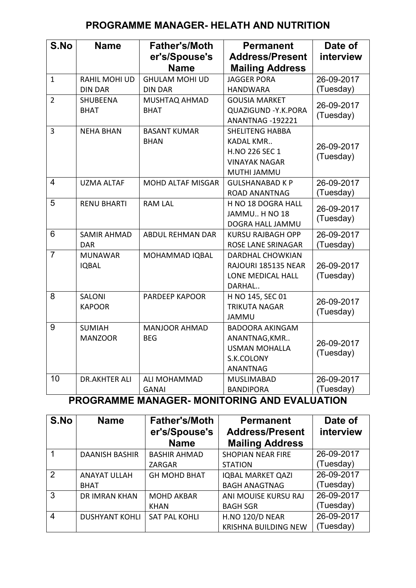## **PROGRAMME MANAGER- HELATH AND NUTRITION**

| S.No           | <b>Name</b>                      | <b>Father's/Moth</b><br>er's/Spouse's<br><b>Name</b> | <b>Permanent</b><br><b>Address/Present</b><br><b>Mailing Address</b>                                | Date of<br>interview    |
|----------------|----------------------------------|------------------------------------------------------|-----------------------------------------------------------------------------------------------------|-------------------------|
| $\mathbf{1}$   | RAHIL MOHI UD<br><b>DIN DAR</b>  | <b>GHULAM MOHI UD</b><br><b>DIN DAR</b>              | <b>JAGGER PORA</b><br><b>HANDWARA</b>                                                               | 26-09-2017<br>(Tuesday) |
| $\overline{2}$ | <b>SHUBEENA</b><br><b>BHAT</b>   | MUSHTAQ AHMAD<br><b>BHAT</b>                         | <b>GOUSIA MARKET</b><br><b>QUAZIGUND - Y.K.PORA</b><br>ANANTNAG -192221                             | 26-09-2017<br>(Tuesday) |
| $\overline{3}$ | <b>NEHA BHAN</b>                 | <b>BASANT KUMAR</b><br><b>BHAN</b>                   | <b>SHELITENG HABBA</b><br><b>KADAL KMR</b><br>H.NO 226 SEC 1<br><b>VINAYAK NAGAR</b><br>MUTHI JAMMU | 26-09-2017<br>(Tuesday) |
| 4              | <b>UZMA ALTAF</b>                | <b>MOHD ALTAF MISGAR</b>                             | <b>GULSHANABAD K P</b><br><b>ROAD ANANTNAG</b>                                                      | 26-09-2017<br>(Tuesday) |
| 5              | <b>RENU BHARTI</b>               | <b>RAM LAL</b>                                       | H NO 18 DOGRA HALL<br>JAMMU H NO 18<br>DOGRA HALL JAMMU                                             | 26-09-2017<br>(Tuesday) |
| 6              | <b>SAMIR AHMAD</b><br><b>DAR</b> | <b>ABDUL REHMAN DAR</b>                              | <b>KURSU RAJBAGH OPP</b><br>ROSE LANE SRINAGAR                                                      | 26-09-2017<br>(Tuesday) |
| $\overline{7}$ | <b>MUNAWAR</b><br><b>IQBAL</b>   | <b>MOHAMMAD IQBAL</b>                                | <b>DARDHAL CHOWKIAN</b><br>RAJOURI 185135 NEAR<br>LONE MEDICAL HALL<br>DARHAL                       | 26-09-2017<br>(Tuesday) |
| 8              | SALONI<br><b>KAPOOR</b>          | PARDEEP KAPOOR                                       | H NO 145, SEC 01<br><b>TRIKUTA NAGAR</b><br><b>JAMMU</b>                                            | 26-09-2017<br>(Tuesday) |
| 9              | <b>SUMIAH</b><br><b>MANZOOR</b>  | <b>MANJOOR AHMAD</b><br><b>BEG</b>                   | <b>BADOORA AKINGAM</b><br>ANANTNAG, KMR<br><b>USMAN MOHALLA</b><br>S.K.COLONY<br><b>ANANTNAG</b>    | 26-09-2017<br>(Tuesday) |
| 10             | <b>DR.AKHTER ALI</b>             | ALI MOHAMMAD<br><b>GANAI</b>                         | <b>MUSLIMABAD</b><br><b>BANDIPORA</b>                                                               | 26-09-2017<br>(Tuesday) |

**PROGRAMME MANAGER- MONITORING AND EVALUATION** 

| S.No | <b>Name</b>           | <b>Father's/Moth</b><br>er's/Spouse's<br><b>Name</b> | <b>Permanent</b><br><b>Address/Present</b><br><b>Mailing Address</b> | Date of<br>interview |
|------|-----------------------|------------------------------------------------------|----------------------------------------------------------------------|----------------------|
|      | <b>DAANISH BASHIR</b> | <b>BASHIR AHMAD</b>                                  | <b>SHOPIAN NEAR FIRE</b>                                             | 26-09-2017           |
|      |                       | ZARGAR                                               | <b>STATION</b>                                                       | (Tuesday)            |
| 2    | <b>ANAYAT ULLAH</b>   | <b>GH MOHD BHAT</b>                                  | <b>IQBAL MARKET QAZI</b>                                             | 26-09-2017           |
|      | <b>BHAT</b>           |                                                      | <b>BAGH ANAGTNAG</b>                                                 | (Tuesday)            |
| 3    | <b>DR IMRAN KHAN</b>  | <b>MOHD AKBAR</b>                                    | ANI MOUISE KURSU RAJ                                                 | 26-09-2017           |
|      |                       | <b>KHAN</b>                                          | <b>BAGH SGR</b>                                                      | (Tuesday)            |
| 4    | <b>DUSHYANT KOHLI</b> | <b>SAT PAL KOHLI</b>                                 | <b>H.NO 120/D NEAR</b>                                               | 26-09-2017           |
|      |                       |                                                      | <b>KRISHNA BUILDING NEW</b>                                          | (Tuesday)            |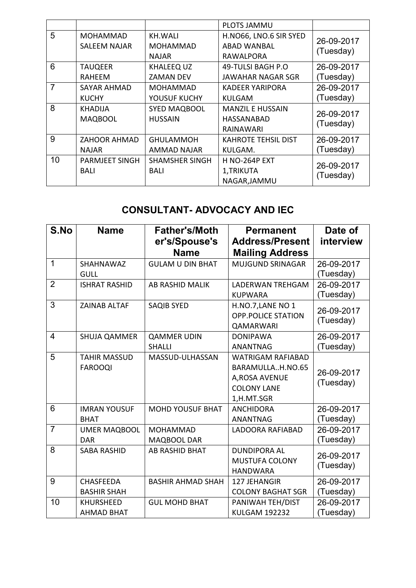|                 |                       |                       | <b>PLOTS JAMMU</b>         |                         |
|-----------------|-----------------------|-----------------------|----------------------------|-------------------------|
| 5               | <b>MOHAMMAD</b>       | KH.WALI               | H.NO66, LNO.6 SIR SYED     | 26-09-2017<br>(Tuesday) |
|                 | SALEEM NAJAR          | <b>MOHAMMAD</b>       | ABAD WANBAL                |                         |
|                 |                       | <b>NAJAR</b>          | RAWALPORA                  |                         |
| $6\phantom{1}6$ | <b>TAUQEER</b>        | <b>KHALEEQ UZ</b>     | 49-TULSI BAGH P.O          | 26-09-2017              |
|                 | RAHEEM                | ZAMAN DEV             | JAWAHAR NAGAR SGR          | (Tuesday)               |
| 7               | SAYAR AHMAD           | <b>MOHAMMAD</b>       | <b>KADEER YARIPORA</b>     | 26-09-2017              |
|                 | <b>KUCHY</b>          | YOUSUF KUCHY          | KULGAM                     | (Tuesday)               |
| 8               | <b>KHADIJA</b>        | <b>SYED MAQBOOL</b>   | <b>MANZIL E HUSSAIN</b>    | 26-09-2017              |
|                 | <b>MAQBOOL</b>        | <b>HUSSAIN</b>        | HASSANABAD                 | (Tuesday)               |
|                 |                       |                       | RAINAWARI                  |                         |
| 9               | ZAHOOR AHMAD          | <b>GHULAMMOH</b>      | <b>KAHROTE TEHSIL DIST</b> | 26-09-2017              |
|                 | <b>NAJAR</b>          | AMMAD NAJAR           | KULGAM.                    | (Tuesday)               |
| 10              | <b>PARMJEET SINGH</b> | <b>SHAMSHER SINGH</b> | <b>H NO-264P EXT</b>       |                         |
|                 | BALI                  | BALI                  | 1, TRIKUTA                 | 26-09-2017              |
|                 |                       |                       | NAGAR, JAMMU               | (Tuesday)               |

## **CONSULTANT- ADVOCACY AND IEC**

| S.No           | <b>Name</b>                            | <b>Father's/Moth</b><br>er's/Spouse's<br><b>Name</b> | <b>Permanent</b><br><b>Address/Present</b><br><b>Mailing Address</b>                               | Date of<br>interview    |
|----------------|----------------------------------------|------------------------------------------------------|----------------------------------------------------------------------------------------------------|-------------------------|
| 1              | SHAHNAWAZ<br><b>GULL</b>               | <b>GULAM U DIN BHAT</b>                              | <b>MUJGUND SRINAGAR</b>                                                                            | 26-09-2017<br>(Tuesday) |
| $\overline{2}$ | <b>ISHRAT RASHID</b>                   | <b>AB RASHID MALIK</b>                               | <b>LADERWAN TREHGAM</b><br><b>KUPWARA</b>                                                          | 26-09-2017<br>(Tuesday) |
| 3              | <b>ZAINAB ALTAF</b>                    | <b>SAQIB SYED</b>                                    | H.NO.7, LANE NO 1<br><b>OPP.POLICE STATION</b><br><b>QAMARWARI</b>                                 | 26-09-2017<br>(Tuesday) |
| $\overline{4}$ | <b>SHUJA QAMMER</b>                    | <b>QAMMER UDIN</b><br><b>SHALLI</b>                  | <b>DONIPAWA</b><br><b>ANANTNAG</b>                                                                 | 26-09-2017<br>(Tuesday) |
| 5              | <b>TAHIR MASSUD</b><br><b>FAROOQI</b>  | MASSUD-ULHASSAN                                      | <b>WATRIGAM RAFIABAD</b><br>BARAMULLAH.NO.65<br>A, ROSA AVENUE<br><b>COLONY LANE</b><br>1,H.MT.SGR | 26-09-2017<br>(Tuesday) |
| 6              | <b>IMRAN YOUSUF</b><br><b>BHAT</b>     | <b>MOHD YOUSUF BHAT</b>                              | <b>ANCHIDORA</b><br><b>ANANTNAG</b>                                                                | 26-09-2017<br>(Tuesday) |
| $\overline{7}$ | <b>UMER MAQBOOL</b><br><b>DAR</b>      | <b>MOHAMMAD</b><br>MAQBOOL DAR                       | <b>LADOORA RAFIABAD</b>                                                                            | 26-09-2017<br>(Tuesday) |
| 8              | <b>SABA RASHID</b>                     | <b>AB RASHID BHAT</b>                                | <b>DUNDIPORA AL</b><br><b>MUSTUFA COLONY</b><br><b>HANDWARA</b>                                    | 26-09-2017<br>(Tuesday) |
| 9              | <b>CHASFEEDA</b><br><b>BASHIR SHAH</b> | <b>BASHIR AHMAD SHAH</b>                             | 127 JEHANGIR<br><b>COLONY BAGHAT SGR</b>                                                           | 26-09-2017<br>(Tuesday) |
| 10             | <b>KHURSHEED</b><br><b>AHMAD BHAT</b>  | <b>GUL MOHD BHAT</b>                                 | PANIWAH TEH/DIST<br><b>KULGAM 192232</b>                                                           | 26-09-2017<br>(Tuesday) |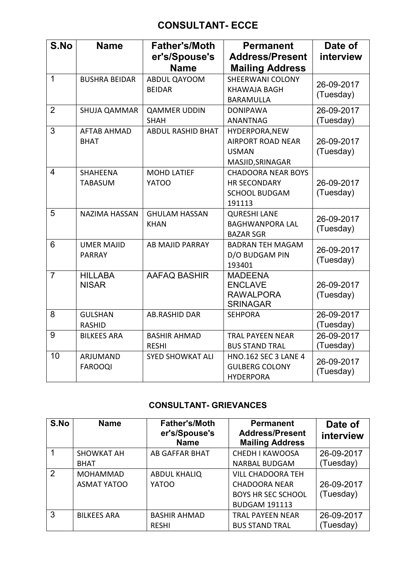### **CONSULTANT- ECCE**

| S.No           | <b>Name</b>                        | <b>Father's/Moth</b><br>er's/Spouse's<br><b>Name</b> | <b>Permanent</b><br><b>Address/Present</b><br><b>Mailing Address</b>               | Date of<br>interview    |
|----------------|------------------------------------|------------------------------------------------------|------------------------------------------------------------------------------------|-------------------------|
| $\mathbf{1}$   | <b>BUSHRA BEIDAR</b>               | ABDUL QAYOOM<br><b>BEIDAR</b>                        | <b>SHEERWANI COLONY</b><br><b>KHAWAJA BAGH</b><br><b>BARAMULLA</b>                 | 26-09-2017<br>(Tuesday) |
| $\overline{2}$ | <b>SHUJA QAMMAR</b>                | <b>QAMMER UDDIN</b><br><b>SHAH</b>                   | <b>DONIPAWA</b><br><b>ANANTNAG</b>                                                 | 26-09-2017<br>(Tuesday) |
| 3              | <b>AFTAB AHMAD</b><br><b>BHAT</b>  | <b>ABDUL RASHID BHAT</b>                             | HYDERPORA, NEW<br><b>AIRPORT ROAD NEAR</b><br><b>USMAN</b><br>MASJID, SRINAGAR     | 26-09-2017<br>(Tuesday) |
| $\overline{4}$ | <b>SHAHEENA</b><br><b>TABASUM</b>  | <b>MOHD LATIEF</b><br><b>YATOO</b>                   | <b>CHADOORA NEAR BOYS</b><br><b>HR SECONDARY</b><br><b>SCHOOL BUDGAM</b><br>191113 | 26-09-2017<br>(Tuesday) |
| 5              | <b>NAZIMA HASSAN</b>               | <b>GHULAM HASSAN</b><br><b>KHAN</b>                  | <b>QURESHI LANE</b><br><b>BAGHWANPORA LAL</b><br><b>BAZAR SGR</b>                  | 26-09-2017<br>(Tuesday) |
| 6              | <b>UMER MAJID</b><br><b>PARRAY</b> | <b>AB MAJID PARRAY</b>                               | <b>BADRAN TEH MAGAM</b><br>D/O BUDGAM PIN<br>193401                                | 26-09-2017<br>(Tuesday) |
| $\overline{7}$ | <b>HILLABA</b><br><b>NISAR</b>     | <b>AAFAQ BASHIR</b>                                  | <b>MADEENA</b><br><b>ENCLAVE</b><br><b>RAWALPORA</b><br><b>SRINAGAR</b>            | 26-09-2017<br>(Tuesday) |
| 8              | <b>GULSHAN</b><br><b>RASHID</b>    | <b>AB.RASHID DAR</b>                                 | <b>SEHPORA</b>                                                                     | 26-09-2017<br>(Tuesday) |
| 9              | <b>BILKEES ARA</b>                 | <b>BASHIR AHMAD</b><br><b>RESHI</b>                  | <b>TRAL PAYEEN NEAR</b><br><b>BUS STAND TRAL</b>                                   | 26-09-2017<br>(Tuesday) |
| 10             | ARJUMAND<br><b>FAROOQI</b>         | <b>SYED SHOWKAT ALI</b>                              | HNO.162 SEC 3 LANE 4<br><b>GULBERG COLONY</b><br><b>HYDERPORA</b>                  | 26-09-2017<br>(Tuesday) |

### **CONSULTANT- GRIEVANCES**

| S.No | <b>Name</b>        | <b>Father's/Moth</b><br>er's/Spouse's<br><b>Name</b> | <b>Permanent</b><br><b>Address/Present</b><br><b>Mailing Address</b> | Date of<br>interview |
|------|--------------------|------------------------------------------------------|----------------------------------------------------------------------|----------------------|
|      | <b>SHOWKAT AH</b>  | <b>AB GAFFAR BHAT</b>                                | <b>CHEDH I KAWOOSA</b>                                               | 26-09-2017           |
|      | <b>BHAT</b>        |                                                      | <b>NARBAL BUDGAM</b>                                                 | (Tuesday)            |
| 2    | <b>MOHAMMAD</b>    | <b>ABDUL KHALIQ</b>                                  | <b>VILL CHADOORA TEH</b>                                             |                      |
|      | <b>ASMAT YATOO</b> | YATOO                                                | <b>CHADOORA NEAR</b>                                                 | 26-09-2017           |
|      |                    |                                                      | <b>BOYS HR SEC SCHOOL</b>                                            | (Tuesday)            |
|      |                    |                                                      | <b>BUDGAM 191113</b>                                                 |                      |
| 3    | <b>BILKEES ARA</b> | <b>BASHIR AHMAD</b>                                  | <b>TRAL PAYEEN NEAR</b>                                              | 26-09-2017           |
|      |                    | <b>RESHI</b>                                         | <b>BUS STAND TRAL</b>                                                | Tuesday)             |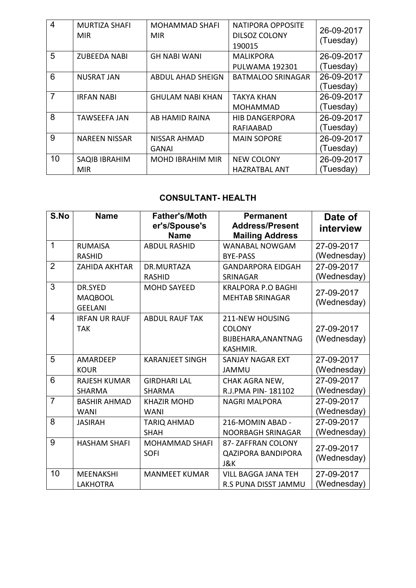| $\overline{4}$ | <b>MURTIZA SHAFI</b><br><b>MIR</b> | <b>MOHAMMAD SHAFI</b><br><b>MIR</b> | <b>NATIPORA OPPOSITE</b><br><b>DILSOZ COLONY</b><br>190015 | 26-09-2017<br>(Tuesday) |
|----------------|------------------------------------|-------------------------------------|------------------------------------------------------------|-------------------------|
| 5              | <b>ZUBEEDA NABI</b>                | <b>GH NABI WANI</b>                 | <b>MALIKPORA</b>                                           | 26-09-2017              |
|                |                                    |                                     | <b>PULWAMA 192301</b>                                      | (Tuesday)               |
| 6              | <b>NUSRAT JAN</b>                  | <b>ABDUL AHAD SHEIGN</b>            | <b>BATMALOO SRINAGAR</b>                                   | 26-09-2017              |
|                |                                    |                                     |                                                            | (Tuesday)               |
| $\overline{7}$ | <b>IRFAN NABI</b>                  | <b>GHULAM NABI KHAN</b>             | TAKYA KHAN                                                 | 26-09-2017              |
|                |                                    |                                     | MOHAMMAD                                                   | (Tuesday)               |
| 8              | <b>TAWSEEFA JAN</b>                | AB HAMID RAINA                      | <b>HIB DANGERPORA</b>                                      | 26-09-2017              |
|                |                                    |                                     | RAFIAABAD                                                  | (Tuesday)               |
| 9              | <b>NAREEN NISSAR</b>               | NISSAR AHMAD                        | <b>MAIN SOPORE</b>                                         | 26-09-2017              |
|                |                                    | <b>GANAI</b>                        |                                                            | (Tuesday)               |
| 10             | SAQIB IBRAHIM                      | <b>MOHD IBRAHIM MIR</b>             | <b>NEW COLONY</b>                                          | 26-09-2017              |
|                | <b>MIR</b>                         |                                     | <b>HAZRATBAL ANT</b>                                       | (Tuesday)               |

### **CONSULTANT- HEALTH**

| S.No           | <b>Name</b>          | <b>Father's/Moth</b><br>er's/Spouse's<br><b>Name</b> | <b>Permanent</b><br><b>Address/Present</b><br><b>Mailing Address</b> | Date of<br>interview |
|----------------|----------------------|------------------------------------------------------|----------------------------------------------------------------------|----------------------|
| 1              | <b>RUMAISA</b>       | <b>ABDUL RASHID</b>                                  | <b>WANABAL NOWGAM</b>                                                | 27-09-2017           |
|                | <b>RASHID</b>        |                                                      | <b>BYE-PASS</b>                                                      | (Wednesday)          |
| $\overline{2}$ | <b>ZAHIDA AKHTAR</b> | DR.MURTAZA                                           | <b>GANDARPORA EIDGAH</b>                                             | 27-09-2017           |
|                |                      | <b>RASHID</b>                                        | <b>SRINAGAR</b>                                                      | (Wednesday)          |
| 3              | DR.SYED              | <b>MOHD SAYEED</b>                                   | <b>KRALPORA P.O BAGHI</b>                                            | 27-09-2017           |
|                | <b>MAQBOOL</b>       |                                                      | <b>MEHTAB SRINAGAR</b>                                               | (Wednesday)          |
|                | <b>GEELANI</b>       |                                                      |                                                                      |                      |
| $\overline{4}$ | <b>IRFAN UR RAUF</b> | <b>ABDUL RAUF TAK</b>                                | <b>211-NEW HOUSING</b>                                               |                      |
|                | <b>TAK</b>           |                                                      | <b>COLONY</b>                                                        | 27-09-2017           |
|                |                      |                                                      | BIJBEHARA, ANANTNAG                                                  | (Wednesday)          |
|                |                      |                                                      | KASHMIR.                                                             |                      |
| 5              | <b>AMARDEEP</b>      | <b>KARANJEET SINGH</b>                               | <b>SANJAY NAGAR EXT</b>                                              | 27-09-2017           |
|                | <b>KOUR</b>          |                                                      | <b>JAMMU</b>                                                         | (Wednesday)          |
| 6              | <b>RAJESH KUMAR</b>  | <b>GIRDHARI LAL</b>                                  | CHAK AGRA NEW,                                                       | 27-09-2017           |
|                | <b>SHARMA</b>        | <b>SHARMA</b>                                        | R.J.PMA PIN-181102                                                   | (Wednesday)          |
| $\overline{7}$ | <b>BASHIR AHMAD</b>  | <b>KHAZIR MOHD</b>                                   | <b>NAGRI MALPORA</b>                                                 | 27-09-2017           |
|                | <b>WANI</b>          | <b>WANI</b>                                          |                                                                      | (Wednesday)          |
| 8              | <b>JASIRAH</b>       | <b>TARIQ AHMAD</b>                                   | 216-MOMIN ABAD -                                                     | 27-09-2017           |
|                |                      | <b>SHAH</b>                                          | NOORBAGH SRINAGAR                                                    | (Wednesday)          |
| 9              | <b>HASHAM SHAFI</b>  | <b>MOHAMMAD SHAFI</b>                                | 87- ZAFFRAN COLONY                                                   | 27-09-2017           |
|                |                      | <b>SOFI</b>                                          | <b>QAZIPORA BANDIPORA</b>                                            | (Wednesday)          |
|                |                      |                                                      | J&K                                                                  |                      |
| 10             | <b>MEENAKSHI</b>     | <b>MANMEET KUMAR</b>                                 | <b>VILL BAGGA JANA TEH</b>                                           | 27-09-2017           |
|                | <b>LAKHOTRA</b>      |                                                      | <b>R.S PUNA DISST JAMMU</b>                                          | (Wednesday)          |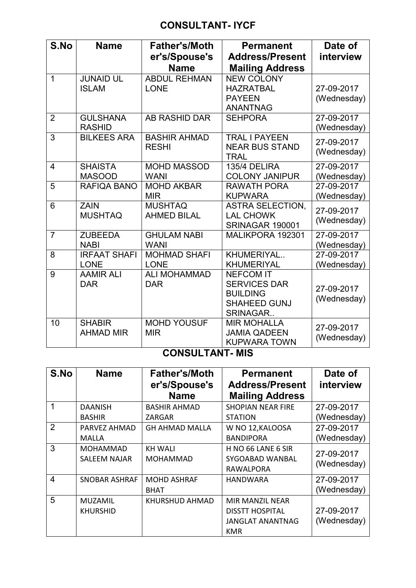## **CONSULTANT- IYCF**

| S.No           | <b>Name</b>                        | <b>Father's/Moth</b><br>er's/Spouse's<br><b>Name</b> | <b>Permanent</b><br><b>Address/Present</b><br><b>Mailing Address</b>                          | Date of<br>interview      |
|----------------|------------------------------------|------------------------------------------------------|-----------------------------------------------------------------------------------------------|---------------------------|
| $\overline{1}$ | <b>JUNAID UL</b><br><b>ISLAM</b>   | <b>ABDUL REHMAN</b><br><b>LONE</b>                   | <b>NEW COLONY</b><br><b>HAZRATBAL</b><br><b>PAYEEN</b><br><b>ANANTNAG</b>                     | 27-09-2017<br>(Wednesday) |
| $\overline{2}$ | <b>GULSHANA</b><br><b>RASHID</b>   | <b>AB RASHID DAR</b>                                 | <b>SEHPORA</b>                                                                                | 27-09-2017<br>(Wednesday) |
| 3              | <b>BILKEES ARA</b>                 | <b>BASHIR AHMAD</b><br><b>RESHI</b>                  | <b>TRAL I PAYEEN</b><br><b>NEAR BUS STAND</b><br><b>TRAL</b>                                  | 27-09-2017<br>(Wednesday) |
| $\overline{4}$ | <b>SHAISTA</b><br><b>MASOOD</b>    | <b>MOHD MASSOD</b><br><b>WANI</b>                    | 135/4 DELIRA<br><b>COLONY JANIPUR</b>                                                         | 27-09-2017<br>(Wednesday) |
| 5              | RAFIQA BANO                        | <b>MOHD AKBAR</b><br><b>MIR</b>                      | <b>RAWATH PORA</b><br><b>KUPWARA</b>                                                          | 27-09-2017<br>(Wednesday) |
| 6              | <b>ZAIN</b><br><b>MUSHTAQ</b>      | <b>MUSHTAQ</b><br><b>AHMED BILAL</b>                 | <b>ASTRA SELECTION.</b><br><b>LAL CHOWK</b><br><b>SRINAGAR 190001</b>                         | 27-09-2017<br>(Wednesday) |
| $\overline{7}$ | <b>ZUBEEDA</b><br><b>NABI</b>      | <b>GHULAM NABI</b><br><b>WANI</b>                    | MALIKPORA 192301                                                                              | 27-09-2017<br>(Wednesday) |
| 8              | <b>IRFAAT SHAFI</b><br><b>LONE</b> | <b>MOHMAD SHAFI</b><br><b>LONE</b>                   | KHUMERIYAL<br><b>KHUMERIYAL</b>                                                               | 27-09-2017<br>(Wednesday) |
| 9              | <b>AAMIR ALI</b><br><b>DAR</b>     | <b>ALI MOHAMMAD</b><br><b>DAR</b>                    | <b>NEFCOM IT</b><br><b>SERVICES DAR</b><br><b>BUILDING</b><br><b>SHAHEED GUNJ</b><br>SRINAGAR | 27-09-2017<br>(Wednesday) |
| 10             | <b>SHABIR</b><br><b>AHMAD MIR</b>  | <b>MOHD YOUSUF</b><br><b>MIR</b>                     | <b>MIR MOHALLA</b><br><b>JAMIA QADEEN</b><br><b>KUPWARA TOWN</b>                              | 27-09-2017<br>(Wednesday) |

### **CONSULTANT- MIS**

| S.No           | <b>Name</b>          | <b>Father's/Moth</b><br>er's/Spouse's<br><b>Name</b> | <b>Permanent</b><br><b>Address/Present</b><br><b>Mailing Address</b> | Date of<br>interview |
|----------------|----------------------|------------------------------------------------------|----------------------------------------------------------------------|----------------------|
| 1              | <b>DAANISH</b>       | <b>BASHIR AHMAD</b>                                  | <b>SHOPIAN NEAR FIRE</b>                                             | 27-09-2017           |
|                | <b>BASHIR</b>        | ZARGAR                                               | <b>STATION</b>                                                       | (Wednesday)          |
| 2              | PARVEZ AHMAD         | <b>GH AHMAD MALLA</b>                                | W NO 12, KALOOSA                                                     | 27-09-2017           |
|                | <b>MALLA</b>         |                                                      | <b>BANDIPORA</b>                                                     | (Wednesday)          |
| 3              | <b>MOHAMMAD</b>      | <b>KH WALI</b>                                       | H NO 66 LANE 6 SIR                                                   | 27-09-2017           |
|                | <b>SALEEM NAJAR</b>  | <b>MOHAMMAD</b>                                      | SYGOABAD WANBAL                                                      | (Wednesday)          |
|                |                      |                                                      | <b>RAWALPORA</b>                                                     |                      |
| $\overline{4}$ | <b>SNOBAR ASHRAF</b> | <b>MOHD ASHRAF</b>                                   | <b>HANDWARA</b>                                                      | 27-09-2017           |
|                |                      | BHAT                                                 |                                                                      | (Wednesday)          |
| 5              | <b>MUZAMIL</b>       | KHURSHUD AHMAD                                       | <b>MIR MANZIL NEAR</b>                                               |                      |
|                | <b>KHURSHID</b>      |                                                      | <b>DISSTT HOSPITAL</b>                                               | 27-09-2017           |
|                |                      |                                                      | <b>JANGLAT ANANTNAG</b>                                              | (Wednesday)          |
|                |                      |                                                      | KMR                                                                  |                      |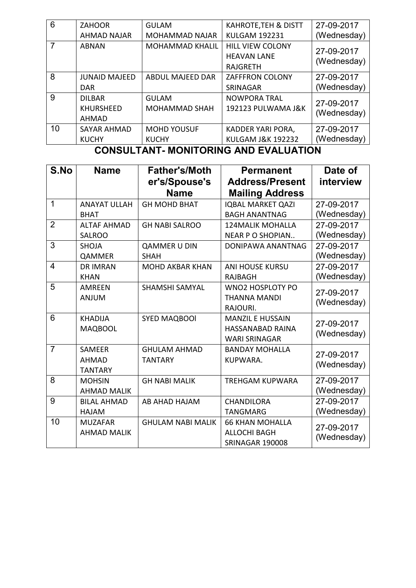|    | <b>KUCHY</b>         | <b>KUCHY</b>            | <b>KULGAM J&amp;K 192232</b>    | (Wednesday) |
|----|----------------------|-------------------------|---------------------------------|-------------|
| 10 | <b>SAYAR AHMAD</b>   | <b>MOHD YOUSUF</b>      | KADDER YARI PORA,               | 27-09-2017  |
|    | <b>AHMAD</b>         |                         |                                 |             |
|    | <b>KHURSHEED</b>     | <b>MOHAMMAD SHAH</b>    | 192123 PULWAMA J&K              | (Wednesday) |
| 9  | <b>DILBAR</b>        | <b>GULAM</b>            | <b>NOWPORA TRAL</b>             | 27-09-2017  |
|    | <b>DAR</b>           |                         | SRINAGAR                        | (Wednesday) |
| 8  | <b>JUNAID MAJEED</b> | <b>ABDUL MAJEED DAR</b> | <b>ZAFFFRON COLONY</b>          | 27-09-2017  |
|    |                      |                         | <b>RAJGRETH</b>                 |             |
|    |                      |                         | <b>HEAVAN LANE</b>              | (Wednesday) |
|    | <b>ABNAN</b>         | <b>MOHAMMAD KHALIL</b>  | <b>HILL VIEW COLONY</b>         | 27-09-2017  |
|    | AHMAD NAJAR          | <b>MOHAMMAD NAJAR</b>   | <b>KULGAM 192231</b>            | (Wednesday) |
| 6  | <b>ZAHOOR</b>        | <b>GULAM</b>            | <b>KAHROTE, TEH &amp; DISTT</b> | 27-09-2017  |

#### **CONSULTANT- MONITORING AND EVALUATION**

| S.No           | <b>Name</b>         | <b>Father's/Moth</b>     | <b>Permanent</b>         | Date of     |
|----------------|---------------------|--------------------------|--------------------------|-------------|
|                |                     | er's/Spouse's            | <b>Address/Present</b>   | interview   |
|                |                     | <b>Name</b>              | <b>Mailing Address</b>   |             |
| 1              | <b>ANAYAT ULLAH</b> | <b>GH MOHD BHAT</b>      | <b>IQBAL MARKET QAZI</b> | 27-09-2017  |
|                | <b>BHAT</b>         |                          | <b>BAGH ANANTNAG</b>     | (Wednesday) |
| $\overline{2}$ | <b>ALTAF AHMAD</b>  | <b>GH NABI SALROO</b>    | <b>124MALIK MOHALLA</b>  | 27-09-2017  |
|                | <b>SALROO</b>       |                          | <b>NEAR P O SHOPIAN</b>  | (Wednesday) |
| 3              | <b>SHOJA</b>        | <b>QAMMER U DIN</b>      | DONIPAWA ANANTNAG        | 27-09-2017  |
|                | QAMMER              | <b>SHAH</b>              |                          | (Wednesday) |
| $\overline{4}$ | <b>DR IMRAN</b>     | <b>MOHD AKBAR KHAN</b>   | <b>ANI HOUSE KURSU</b>   | 27-09-2017  |
|                | <b>KHAN</b>         |                          | <b>RAJBAGH</b>           | (Wednesday) |
| 5              | <b>AMREEN</b>       | <b>SHAMSHI SAMYAL</b>    | <b>WNO2 HOSPLOTY PO</b>  | 27-09-2017  |
|                | <b>ANJUM</b>        |                          | THANNA MANDI             | (Wednesday) |
|                |                     |                          | RAJOURI.                 |             |
| 6              | <b>KHADIJA</b>      | <b>SYED MAQBOOI</b>      | <b>MANZIL E HUSSAIN</b>  | 27-09-2017  |
|                | <b>MAQBOOL</b>      |                          | HASSANABAD RAINA         | (Wednesday) |
|                |                     |                          | <b>WARI SRINAGAR</b>     |             |
| $\overline{7}$ | <b>SAMEER</b>       | <b>GHULAM AHMAD</b>      | <b>BANDAY MOHALLA</b>    | 27-09-2017  |
|                | <b>AHMAD</b>        | <b>TANTARY</b>           | KUPWARA.                 | (Wednesday) |
|                | <b>TANTARY</b>      |                          |                          |             |
| 8              | <b>MOHSIN</b>       | <b>GH NABI MALIK</b>     | <b>TREHGAM KUPWARA</b>   | 27-09-2017  |
|                | <b>AHMAD MALIK</b>  |                          |                          | (Wednesday) |
| 9              | <b>BILAL AHMAD</b>  | AB AHAD HAJAM            | <b>CHANDILORA</b>        | 27-09-2017  |
|                | <b>HAJAM</b>        |                          | <b>TANGMARG</b>          | (Wednesday) |
| 10             | <b>MUZAFAR</b>      | <b>GHULAM NABI MALIK</b> | <b>66 KHAN MOHALLA</b>   | 27-09-2017  |
|                | <b>AHMAD MALIK</b>  |                          | <b>ALLOCHI BAGH</b>      | (Wednesday) |
|                |                     |                          | <b>SRINAGAR 190008</b>   |             |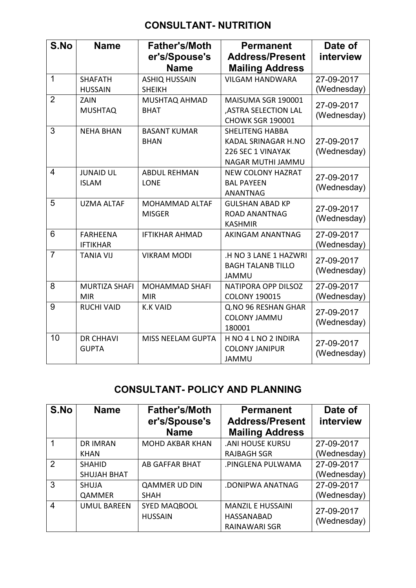## **CONSULTANT- NUTRITION**

| S.No           | <b>Name</b>                        | <b>Father's/Moth</b><br>er's/Spouse's<br><b>Name</b> | <b>Permanent</b><br><b>Address/Present</b><br><b>Mailing Address</b>                           | Date of<br>interview      |
|----------------|------------------------------------|------------------------------------------------------|------------------------------------------------------------------------------------------------|---------------------------|
| $\mathbf 1$    | <b>SHAFATH</b><br><b>HUSSAIN</b>   | <b>ASHIQ HUSSAIN</b><br><b>SHEIKH</b>                | <b>VILGAM HANDWARA</b>                                                                         | 27-09-2017<br>(Wednesday) |
| $\overline{2}$ | ZAIN<br><b>MUSHTAQ</b>             | <b>MUSHTAQ AHMAD</b><br><b>BHAT</b>                  | MAISUMA SGR 190001<br>,ASTRA SELECTION LAL<br><b>CHOWK SGR 190001</b>                          | 27-09-2017<br>(Wednesday) |
| 3              | <b>NEHA BHAN</b>                   | <b>BASANT KUMAR</b><br><b>BHAN</b>                   | <b>SHELITENG HABBA</b><br><b>KADAL SRINAGAR H.NO</b><br>226 SEC 1 VINAYAK<br>NAGAR MUTHI JAMMU | 27-09-2017<br>(Wednesday) |
| $\overline{4}$ | <b>JUNAID UL</b><br><b>ISLAM</b>   | <b>ABDUL REHMAN</b><br><b>LONE</b>                   | <b>NEW COLONY HAZRAT</b><br><b>BAL PAYEEN</b><br><b>ANANTNAG</b>                               | 27-09-2017<br>(Wednesday) |
| 5              | <b>UZMA ALTAF</b>                  | <b>MOHAMMAD ALTAF</b><br><b>MISGER</b>               | <b>GULSHAN ABAD KP</b><br><b>ROAD ANANTNAG</b><br><b>KASHMIR</b>                               | 27-09-2017<br>(Wednesday) |
| 6              | <b>FARHEENA</b><br><b>IFTIKHAR</b> | <b>IFTIKHAR AHMAD</b>                                | AKINGAM ANANTNAG                                                                               | 27-09-2017<br>(Wednesday) |
| $\overline{7}$ | <b>TANIA VIJ</b>                   | <b>VIKRAM MODI</b>                                   | .H NO 3 LANE 1 HAZWRI<br><b>BAGH TALANB TILLO</b><br><b>JAMMU</b>                              | 27-09-2017<br>(Wednesday) |
| 8              | MURTIZA SHAFI<br><b>MIR</b>        | <b>MOHAMMAD SHAFI</b><br><b>MIR</b>                  | NATIPORA OPP DILSOZ<br><b>COLONY 190015</b>                                                    | 27-09-2017<br>(Wednesday) |
| 9              | <b>RUCHI VAID</b>                  | <b>K.K VAID</b>                                      | Q.NO 96 RESHAN GHAR<br><b>COLONY JAMMU</b><br>180001                                           | 27-09-2017<br>(Wednesday) |
| 10             | <b>DR CHHAVI</b><br><b>GUPTA</b>   | MISS NEELAM GUPTA                                    | H NO 4 L NO 2 INDIRA<br><b>COLONY JANIPUR</b><br><b>JAMMU</b>                                  | 27-09-2017<br>(Wednesday) |

# **CONSULTANT- POLICY AND PLANNING**

| S.No                    | <b>Name</b>        | <b>Father's/Moth</b><br>er's/Spouse's<br><b>Name</b> | <b>Permanent</b><br><b>Address/Present</b><br><b>Mailing Address</b> | Date of<br>interview |
|-------------------------|--------------------|------------------------------------------------------|----------------------------------------------------------------------|----------------------|
|                         | <b>DR IMRAN</b>    | <b>MOHD AKBAR KHAN</b>                               | <b>.ANI HOUSE KURSU</b>                                              | 27-09-2017           |
|                         | <b>KHAN</b>        |                                                      | <b>RAJBAGH SGR</b>                                                   | (Wednesday)          |
| $\mathcal{P}$           | <b>SHAHID</b>      | <b>AB GAFFAR BHAT</b>                                | .PINGLENA PULWAMA                                                    | 27-09-2017           |
|                         | <b>SHUJAH BHAT</b> |                                                      |                                                                      | (Wednesday)          |
| 3                       | <b>SHUJA</b>       | <b>QAMMER UD DIN</b>                                 | .DONIPWA ANATNAG                                                     | 27-09-2017           |
|                         | QAMMER             | <b>SHAH</b>                                          |                                                                      | (Wednesday)          |
| $\overline{\mathbf{4}}$ | <b>UMUL BAREEN</b> | <b>SYED MAQBOOL</b>                                  | <b>MANZIL E HUSSAINI</b>                                             | 27-09-2017           |
|                         |                    | <b>HUSSAIN</b>                                       | <b>HASSANABAD</b>                                                    | (Wednesday)          |
|                         |                    |                                                      | RAINAWARI SGR                                                        |                      |